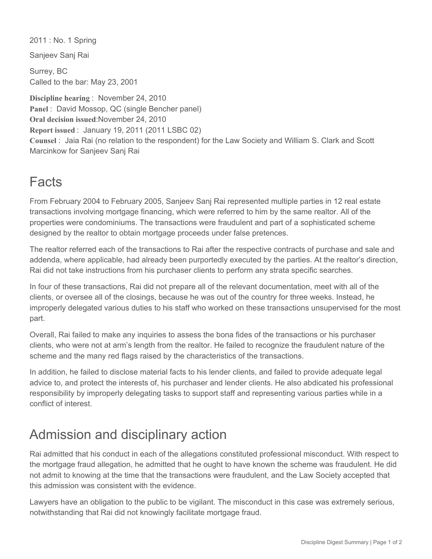2011 : No. 1 Spring

Sanjeev Sanj Rai

Surrey, BC Called to the bar: May 23, 2001

**Discipline hearing** : November 24, 2010 Panel : David Mossop, QC (single Bencher panel) **Oral decision issued**:November 24, 2010 **Report issued** : January 19, 2011 (2011 LSBC 02) **Counsel** : Jaia Rai (no relation to the respondent) for the Law Society and William S. Clark and Scott Marcinkow for Sanjeev Sanj Rai

## Facts

From February 2004 to February 2005, Sanjeev Sanj Rai represented multiple parties in 12 real estate transactions involving mortgage financing, which were referred to him by the same realtor. All of the properties were condominiums. The transactions were fraudulent and part of a sophisticated scheme designed by the realtor to obtain mortgage proceeds under false pretences.

The realtor referred each of the transactions to Rai after the respective contracts of purchase and sale and addenda, where applicable, had already been purportedly executed by the parties. At the realtor's direction, Rai did not take instructions from his purchaser clients to perform any strata specific searches.

In four of these transactions, Rai did not prepare all of the relevant documentation, meet with all of the clients, or oversee all of the closings, because he was out of the country for three weeks. Instead, he improperly delegated various duties to his staff who worked on these transactions unsupervised for the most part.

Overall, Rai failed to make any inquiries to assess the bona fides of the transactions or his purchaser clients, who were not at arm's length from the realtor. He failed to recognize the fraudulent nature of the scheme and the many red flags raised by the characteristics of the transactions.

In addition, he failed to disclose material facts to his lender clients, and failed to provide adequate legal advice to, and protect the interests of, his purchaser and lender clients. He also abdicated his professional responsibility by improperly delegating tasks to support staff and representing various parties while in a conflict of interest.

## Admission and disciplinary action

Rai admitted that his conduct in each of the allegations constituted professional misconduct. With respect to the mortgage fraud allegation, he admitted that he ought to have known the scheme was fraudulent. He did not admit to knowing at the time that the transactions were fraudulent, and the Law Society accepted that this admission was consistent with the evidence.

Lawyers have an obligation to the public to be vigilant. The misconduct in this case was extremely serious, notwithstanding that Rai did not knowingly facilitate mortgage fraud.